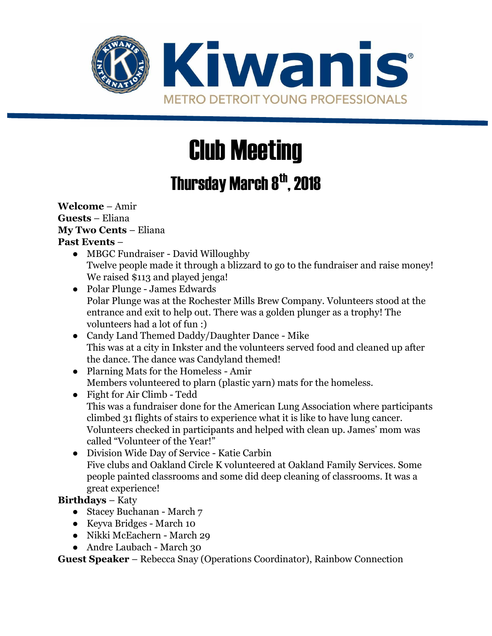

# Club Meeting

## Thursday March 8<sup>th</sup>, 2018

#### **Welcome** – Amir **Guests** – Eliana **My Two Cents** – Eliana **Past Events** –

- MBGC Fundraiser David Willoughby Twelve people made it through a blizzard to go to the fundraiser and raise money! We raised \$113 and played jenga!
- Polar Plunge James Edwards Polar Plunge was at the Rochester Mills Brew Company. Volunteers stood at the entrance and exit to help out. There was a golden plunger as a trophy! The volunteers had a lot of fun :)
- Candy Land Themed Daddy/Daughter Dance Mike This was at a city in Inkster and the volunteers served food and cleaned up after the dance. The dance was Candyland themed!
- Plarning Mats for the Homeless Amir Members volunteered to plarn (plastic yarn) mats for the homeless.
- Fight for Air Climb Tedd This was a fundraiser done for the American Lung Association where participants climbed 31 flights of stairs to experience what it is like to have lung cancer. Volunteers checked in participants and helped with clean up. James' mom was called "Volunteer of the Year!"
- Division Wide Day of Service Katie Carbin Five clubs and Oakland Circle K volunteered at Oakland Family Services. Some people painted classrooms and some did deep cleaning of classrooms. It was a great experience!

#### **Birthdays** – Katy

- Stacey Buchanan March 7
- Keyva Bridges March 10
- Nikki McEachern March 29
- Andre Laubach March 30

**Guest Speaker** – Rebecca Snay (Operations Coordinator), Rainbow Connection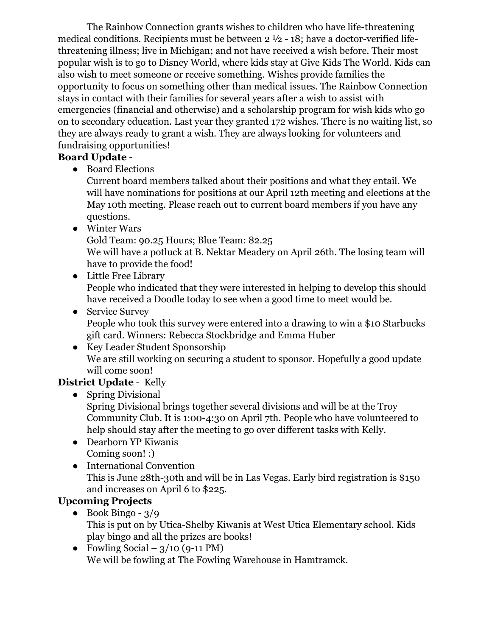The Rainbow Connection grants wishes to children who have life-threatening medical conditions. Recipients must be between 2 ½ - 18; have a doctor-verified lifethreatening illness; live in Michigan; and not have received a wish before. Their most popular wish is to go to Disney World, where kids stay at Give Kids The World. Kids can also wish to meet someone or receive something. Wishes provide families the opportunity to focus on something other than medical issues. The Rainbow Connection stays in contact with their families for several years after a wish to assist with emergencies (financial and otherwise) and a scholarship program for wish kids who go on to secondary education. Last year they granted 172 wishes. There is no waiting list, so they are always ready to grant a wish. They are always looking for volunteers and fundraising opportunities!

#### **Board Update** -

● Board Elections

Current board members talked about their positions and what they entail. We will have nominations for positions at our April 12th meeting and elections at the May 10th meeting. Please reach out to current board members if you have any questions.

● Winter Wars

Gold Team: 90.25 Hours; Blue Team: 82.25

We will have a potluck at B. Nektar Meadery on April 26th. The losing team will have to provide the food!

- Little Free Library People who indicated that they were interested in helping to develop this should have received a Doodle today to see when a good time to meet would be.
- Service Survey People who took this survey were entered into a drawing to win a \$10 Starbucks gift card. Winners: Rebecca Stockbridge and Emma Huber
- Key Leader Student Sponsorship We are still working on securing a student to sponsor. Hopefully a good update will come soon!

#### **District Update** - Kelly

• Spring Divisional

Spring Divisional brings together several divisions and will be at the Troy Community Club. It is 1:00-4:30 on April 7th. People who have volunteered to help should stay after the meeting to go over different tasks with Kelly.

- Dearborn YP Kiwanis Coming soon! :)
- International Convention This is June 28th-30th and will be in Las Vegas. Early bird registration is \$150 and increases on April 6 to \$225.

### **Upcoming Projects**

- $\bullet$  Book Bingo 3/9 This is put on by Utica-Shelby Kiwanis at West Utica Elementary school. Kids play bingo and all the prizes are books!
- Fowling Social  $3/10$  (9-11 PM) We will be fowling at The Fowling Warehouse in Hamtramck.